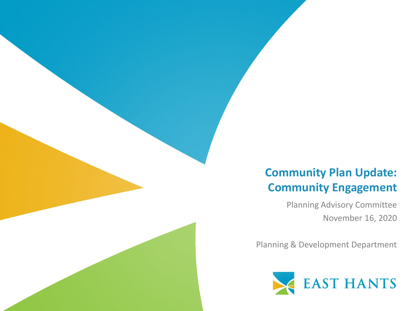### **Community Plan Update: Community Engagement**

Planning Advisory Committee November 16, 2020

Planning & Development Department

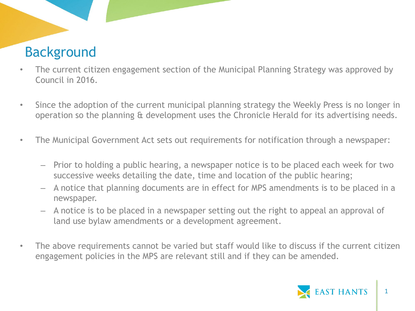## Background

- The current citizen engagement section of the Municipal Planning Strategy was approved by Council in 2016.
- Since the adoption of the current municipal planning strategy the Weekly Press is no longer in operation so the planning & development uses the Chronicle Herald for its advertising needs.
- The Municipal Government Act sets out requirements for notification through a newspaper:
	- Prior to holding a public hearing, a newspaper notice is to be placed each week for two successive weeks detailing the date, time and location of the public hearing;
	- A notice that planning documents are in effect for MPS amendments is to be placed in a newspaper.
	- A notice is to be placed in a newspaper setting out the right to appeal an approval of land use bylaw amendments or a development agreement.
- The above requirements cannot be varied but staff would like to discuss if the current citizen engagement policies in the MPS are relevant still and if they can be amended.

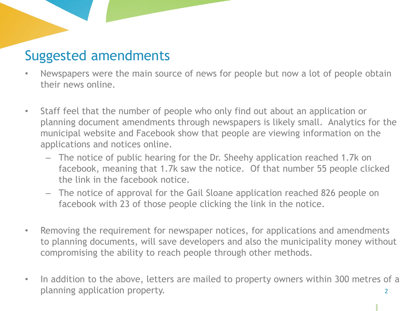### Suggested amendments

- Newspapers were the main source of news for people but now a lot of people obtain their news online.
- Staff feel that the number of people who only find out about an application or planning document amendments through newspapers is likely small. Analytics for the municipal website and Facebook show that people are viewing information on the applications and notices online.
	- The notice of public hearing for the Dr. Sheehy application reached 1.7k on facebook, meaning that 1.7k saw the notice. Of that number 55 people clicked the link in the facebook notice.
	- The notice of approval for the Gail Sloane application reached 826 people on facebook with 23 of those people clicking the link in the notice.
- Removing the requirement for newspaper notices, for applications and amendments to planning documents, will save developers and also the municipality money without compromising the ability to reach people through other methods.
- In addition to the above, letters are mailed to property owners within 300 metres of a planning application property.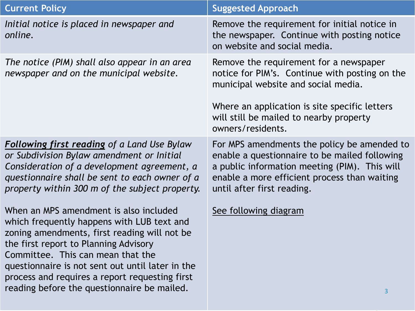| <b>Current Policy</b>                                                                                                                                                                                                                                                                                                                                                   | <b>Suggested Approach</b>                                                                                                                                                                                                                        |
|-------------------------------------------------------------------------------------------------------------------------------------------------------------------------------------------------------------------------------------------------------------------------------------------------------------------------------------------------------------------------|--------------------------------------------------------------------------------------------------------------------------------------------------------------------------------------------------------------------------------------------------|
| Initial notice is placed in newspaper and<br>online.                                                                                                                                                                                                                                                                                                                    | Remove the requirement for initial notice in<br>the newspaper. Continue with posting notice<br>on website and social media.                                                                                                                      |
| The notice (PIM) shall also appear in an area<br>newspaper and on the municipal website.                                                                                                                                                                                                                                                                                | Remove the requirement for a newspaper<br>notice for PIM's. Continue with posting on the<br>municipal website and social media.<br>Where an application is site specific letters<br>will still be mailed to nearby property<br>owners/residents. |
| <b>Following first reading of a Land Use Bylaw</b><br>or Subdivision Bylaw amendment or Initial<br>Consideration of a development agreement, a<br>questionnaire shall be sent to each owner of a<br>property within 300 m of the subject property.                                                                                                                      | For MPS amendments the policy be amended to<br>enable a questionnaire to be mailed following<br>a public information meeting (PIM). This will<br>enable a more efficient process than waiting<br>until after first reading.                      |
| When an MPS amendment is also included<br>which frequently happens with LUB text and<br>zoning amendments, first reading will not be<br>the first report to Planning Advisory<br>Committee. This can mean that the<br>questionnaire is not sent out until later in the<br>process and requires a report requesting first<br>reading before the questionnaire be mailed. | See following diagram<br>3                                                                                                                                                                                                                       |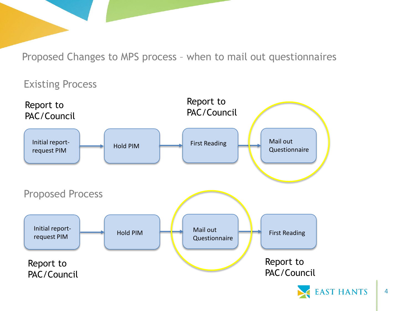Proposed Changes to MPS process – when to mail out questionnaires

Existing Process



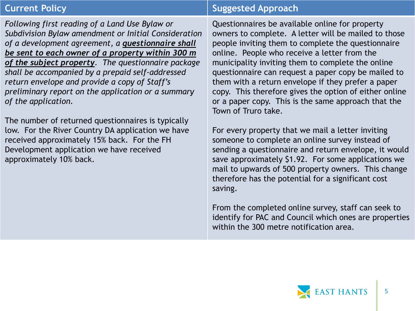*Following first reading of a Land Use Bylaw or Subdivision Bylaw amendment or Initial Consideration of a development agreement, a questionnaire shall be sent to each owner of a property within 300 m of the subject property. The questionnaire package shall be accompanied by a prepaid self-addressed return envelope and provide a copy of Staff's preliminary report on the application or a summary of the application.*

The number of returned questionnaires is typically low. For the River Country DA application we have received approximately 15% back. For the FH Development application we have received approximately 10% back.

### **Current Policy Suggested Approach**

Questionnaires be available online for property owners to complete. A letter will be mailed to those people inviting them to complete the questionnaire online. People who receive a letter from the municipality inviting them to complete the online questionnaire can request a paper copy be mailed to them with a return envelope if they prefer a paper copy. This therefore gives the option of either online or a paper copy. This is the same approach that the Town of Truro take.

For every property that we mail a letter inviting someone to complete an online survey instead of sending a questionnaire and return envelope, it would save approximately \$1.92. For some applications we mail to upwards of 500 property owners. This change therefore has the potential for a significant cost saving.

From the completed online survey, staff can seek to identify for PAC and Council which ones are properties within the 300 metre notification area.

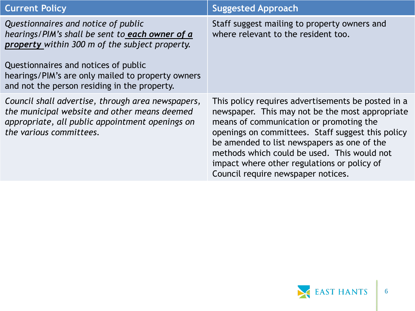| <b>Current Policy</b>                                                                                                                                                           | <b>Suggested Approach</b>                                                                                                                                                                                                                                                                                                                                                                |
|---------------------------------------------------------------------------------------------------------------------------------------------------------------------------------|------------------------------------------------------------------------------------------------------------------------------------------------------------------------------------------------------------------------------------------------------------------------------------------------------------------------------------------------------------------------------------------|
| Questionnaires and notice of public<br>hearings/PIM's shall be sent to each owner of a<br>property within 300 m of the subject property.                                        | Staff suggest mailing to property owners and<br>where relevant to the resident too.                                                                                                                                                                                                                                                                                                      |
| Questionnaires and notices of public<br>hearings/PIM's are only mailed to property owners<br>and not the person residing in the property.                                       |                                                                                                                                                                                                                                                                                                                                                                                          |
| Council shall advertise, through area newspapers,<br>the municipal website and other means deemed<br>appropriate, all public appointment openings on<br>the various committees. | This policy requires advertisements be posted in a<br>newspaper. This may not be the most appropriate<br>means of communication or promoting the<br>openings on committees. Staff suggest this policy<br>be amended to list newspapers as one of the<br>methods which could be used. This would not<br>impact where other regulations or policy of<br>Council require newspaper notices. |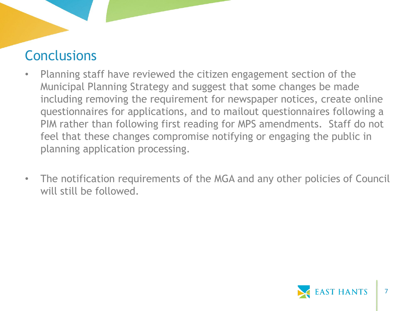### **Conclusions**

- Planning staff have reviewed the citizen engagement section of the Municipal Planning Strategy and suggest that some changes be made including removing the requirement for newspaper notices, create online questionnaires for applications, and to mailout questionnaires following a PIM rather than following first reading for MPS amendments. Staff do not feel that these changes compromise notifying or engaging the public in planning application processing.
- The notification requirements of the MGA and any other policies of Council will still be followed.